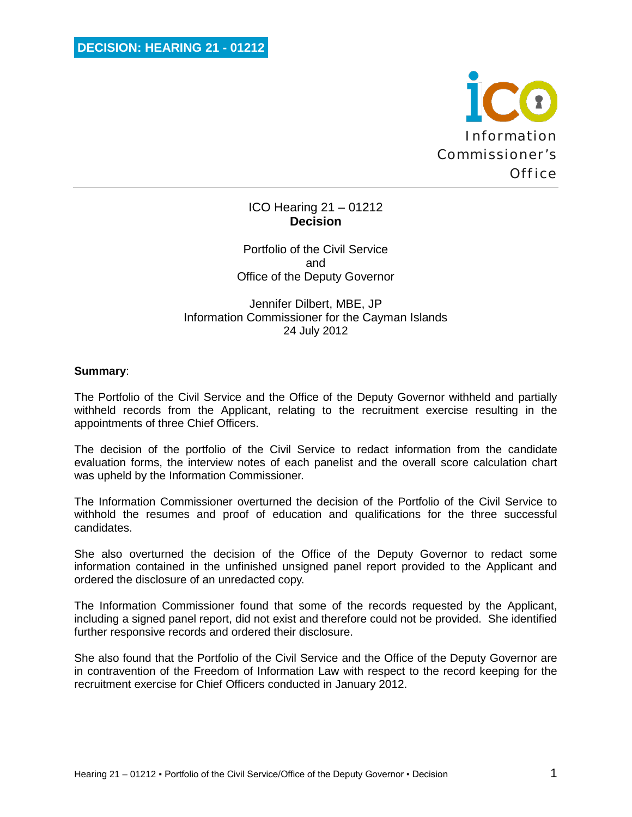

# ICO Hearing 21 – 01212 **Decision**

Portfolio of the Civil Service and Office of the Deputy Governor

# Jennifer Dilbert, MBE, JP Information Commissioner for the Cayman Islands 24 July 2012

### **Summary**:

The Portfolio of the Civil Service and the Office of the Deputy Governor withheld and partially withheld records from the Applicant, relating to the recruitment exercise resulting in the appointments of three Chief Officers.

The decision of the portfolio of the Civil Service to redact information from the candidate evaluation forms, the interview notes of each panelist and the overall score calculation chart was upheld by the Information Commissioner.

The Information Commissioner overturned the decision of the Portfolio of the Civil Service to withhold the resumes and proof of education and qualifications for the three successful candidates.

She also overturned the decision of the Office of the Deputy Governor to redact some information contained in the unfinished unsigned panel report provided to the Applicant and ordered the disclosure of an unredacted copy.

The Information Commissioner found that some of the records requested by the Applicant, including a signed panel report, did not exist and therefore could not be provided. She identified further responsive records and ordered their disclosure.

She also found that the Portfolio of the Civil Service and the Office of the Deputy Governor are in contravention of the Freedom of Information Law with respect to the record keeping for the recruitment exercise for Chief Officers conducted in January 2012.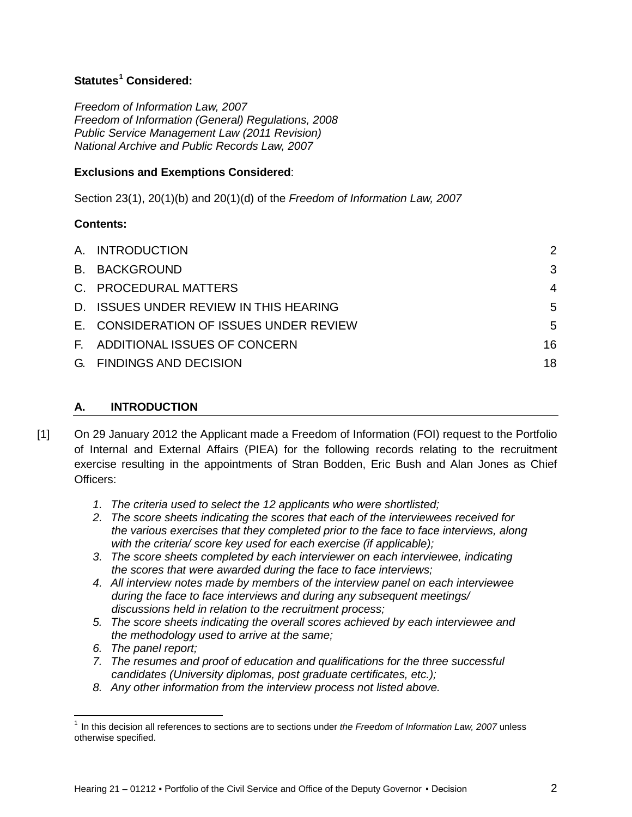# **Statutes[1](#page-1-1) Considered:**

*Freedom of Information Law, 2007 Freedom of Information (General) Regulations, 2008 Public Service Management Law (2011 Revision) National Archive and Public Records Law, 2007*

# **Exclusions and Exemptions Considered**:

Section 23(1), 20(1)(b) and 20(1)(d) of the *Freedom of Information Law, 2007*

# **Contents:**

| A. INTRODUCTION                         | $\mathcal{P}$  |
|-----------------------------------------|----------------|
| <b>B. BACKGROUND</b>                    | 3              |
| C. PROCEDURAL MATTERS                   | $\overline{4}$ |
| D. ISSUES UNDER REVIEW IN THIS HEARING  | 5              |
| E. CONSIDERATION OF ISSUES UNDER REVIEW | 5              |
| F. ADDITIONAL ISSUES OF CONCERN         | 16             |
| G. FINDINGS AND DECISION                | 18             |
|                                         |                |

# <span id="page-1-0"></span>**A. INTRODUCTION**

- [1] On 29 January 2012 the Applicant made a Freedom of Information (FOI) request to the Portfolio of Internal and External Affairs (PIEA) for the following records relating to the recruitment exercise resulting in the appointments of Stran Bodden, Eric Bush and Alan Jones as Chief Officers:
	- *1. The criteria used to select the 12 applicants who were shortlisted;*
	- *2. The score sheets indicating the scores that each of the interviewees received for the various exercises that they completed prior to the face to face interviews, along with the criteria/ score key used for each exercise (if applicable);*
	- *3. The score sheets completed by each interviewer on each interviewee, indicating the scores that were awarded during the face to face interviews;*
	- *4. All interview notes made by members of the interview panel on each interviewee during the face to face interviews and during any subsequent meetings/ discussions held in relation to the recruitment process;*
	- *5. The score sheets indicating the overall scores achieved by each interviewee and the methodology used to arrive at the same;*
	- *6. The panel report;*

 $\overline{\phantom{0}}$ 

- *7. The resumes and proof of education and qualifications for the three successful candidates (University diplomas, post graduate certificates, etc.);*
- *8. Any other information from the interview process not listed above.*

<span id="page-1-1"></span><sup>&</sup>lt;sup>1</sup> In this decision all references to sections are to sections under *the Freedom of Information Law, 2007* unless otherwise specified.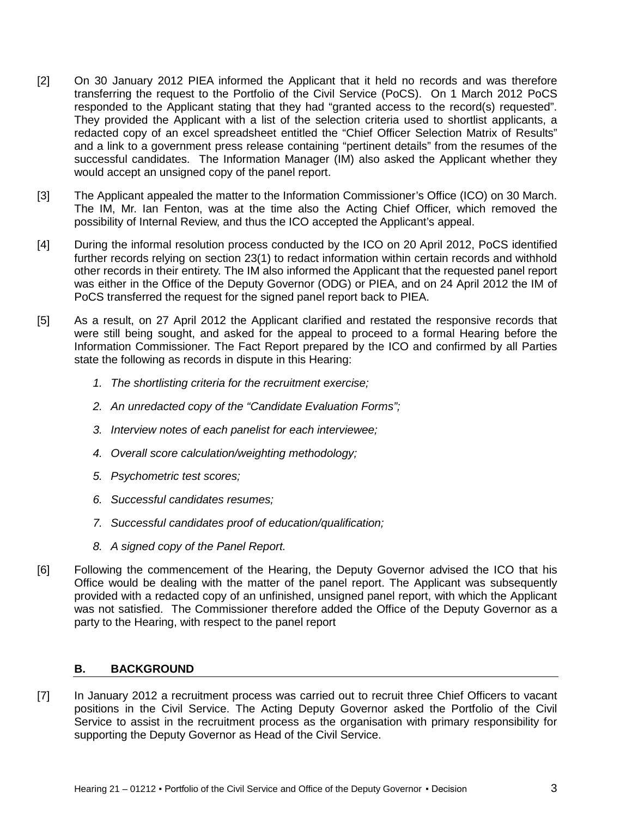- [2] On 30 January 2012 PIEA informed the Applicant that it held no records and was therefore transferring the request to the Portfolio of the Civil Service (PoCS). On 1 March 2012 PoCS responded to the Applicant stating that they had "granted access to the record(s) requested". They provided the Applicant with a list of the selection criteria used to shortlist applicants, a redacted copy of an excel spreadsheet entitled the "Chief Officer Selection Matrix of Results" and a link to a government press release containing "pertinent details" from the resumes of the successful candidates. The Information Manager (IM) also asked the Applicant whether they would accept an unsigned copy of the panel report.
- [3] The Applicant appealed the matter to the Information Commissioner's Office (ICO) on 30 March. The IM, Mr. Ian Fenton, was at the time also the Acting Chief Officer, which removed the possibility of Internal Review, and thus the ICO accepted the Applicant's appeal.
- [4] During the informal resolution process conducted by the ICO on 20 April 2012, PoCS identified further records relying on section 23(1) to redact information within certain records and withhold other records in their entirety. The IM also informed the Applicant that the requested panel report was either in the Office of the Deputy Governor (ODG) or PIEA, and on 24 April 2012 the IM of PoCS transferred the request for the signed panel report back to PIEA.
- [5] As a result, on 27 April 2012 the Applicant clarified and restated the responsive records that were still being sought, and asked for the appeal to proceed to a formal Hearing before the Information Commissioner. The Fact Report prepared by the ICO and confirmed by all Parties state the following as records in dispute in this Hearing:
	- *1. The shortlisting criteria for the recruitment exercise;*
	- *2. An unredacted copy of the "Candidate Evaluation Forms";*
	- *3. Interview notes of each panelist for each interviewee;*
	- *4. Overall score calculation/weighting methodology;*
	- *5. Psychometric test scores;*
	- *6. Successful candidates resumes;*
	- *7. Successful candidates proof of education/qualification;*
	- *8. A signed copy of the Panel Report.*
- [6] Following the commencement of the Hearing, the Deputy Governor advised the ICO that his Office would be dealing with the matter of the panel report. The Applicant was subsequently provided with a redacted copy of an unfinished, unsigned panel report, with which the Applicant was not satisfied. The Commissioner therefore added the Office of the Deputy Governor as a party to the Hearing, with respect to the panel report

# <span id="page-2-0"></span>**B. BACKGROUND**

[7] In January 2012 a recruitment process was carried out to recruit three Chief Officers to vacant positions in the Civil Service. The Acting Deputy Governor asked the Portfolio of the Civil Service to assist in the recruitment process as the organisation with primary responsibility for supporting the Deputy Governor as Head of the Civil Service.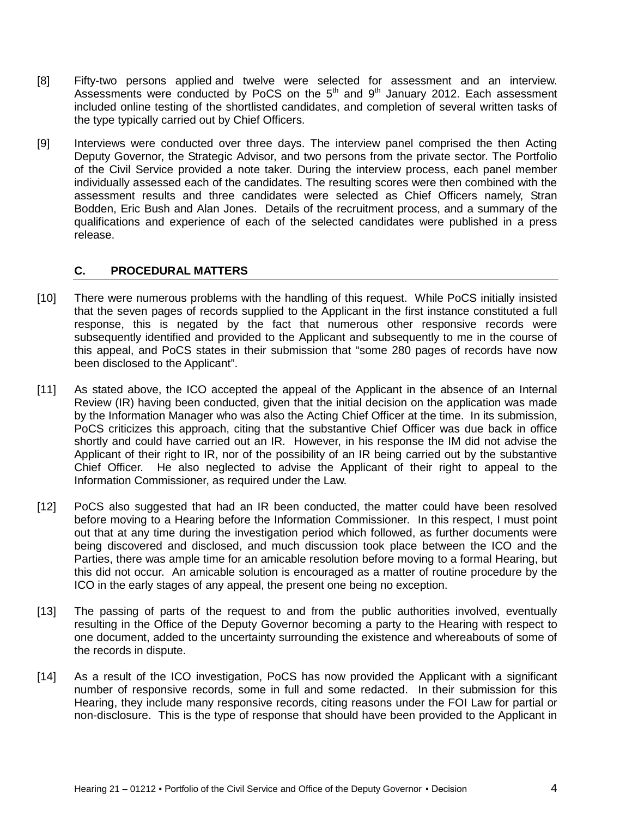- [8] Fifty-two persons applied and twelve were selected for assessment and an interview. Assessments were conducted by PoCS on the  $5<sup>th</sup>$  and  $9<sup>th</sup>$  January 2012. Each assessment included online testing of the shortlisted candidates, and completion of several written tasks of the type typically carried out by Chief Officers.
- [9] Interviews were conducted over three days. The interview panel comprised the then Acting Deputy Governor, the Strategic Advisor, and two persons from the private sector. The Portfolio of the Civil Service provided a note taker. During the interview process, each panel member individually assessed each of the candidates. The resulting scores were then combined with the assessment results and three candidates were selected as Chief Officers namely, Stran Bodden, Eric Bush and Alan Jones. Details of the recruitment process, and a summary of the qualifications and experience of each of the selected candidates were published in a press release.

### <span id="page-3-0"></span>**C. PROCEDURAL MATTERS**

- [10] There were numerous problems with the handling of this request. While PoCS initially insisted that the seven pages of records supplied to the Applicant in the first instance constituted a full response, this is negated by the fact that numerous other responsive records were subsequently identified and provided to the Applicant and subsequently to me in the course of this appeal, and PoCS states in their submission that "some 280 pages of records have now been disclosed to the Applicant".
- [11] As stated above, the ICO accepted the appeal of the Applicant in the absence of an Internal Review (IR) having been conducted, given that the initial decision on the application was made by the Information Manager who was also the Acting Chief Officer at the time. In its submission, PoCS criticizes this approach, citing that the substantive Chief Officer was due back in office shortly and could have carried out an IR. However, in his response the IM did not advise the Applicant of their right to IR, nor of the possibility of an IR being carried out by the substantive Chief Officer. He also neglected to advise the Applicant of their right to appeal to the Information Commissioner, as required under the Law.
- [12] PoCS also suggested that had an IR been conducted, the matter could have been resolved before moving to a Hearing before the Information Commissioner. In this respect, I must point out that at any time during the investigation period which followed, as further documents were being discovered and disclosed, and much discussion took place between the ICO and the Parties, there was ample time for an amicable resolution before moving to a formal Hearing, but this did not occur. An amicable solution is encouraged as a matter of routine procedure by the ICO in the early stages of any appeal, the present one being no exception.
- [13] The passing of parts of the request to and from the public authorities involved, eventually resulting in the Office of the Deputy Governor becoming a party to the Hearing with respect to one document, added to the uncertainty surrounding the existence and whereabouts of some of the records in dispute.
- [14] As a result of the ICO investigation, PoCS has now provided the Applicant with a significant number of responsive records, some in full and some redacted. In their submission for this Hearing, they include many responsive records, citing reasons under the FOI Law for partial or non-disclosure. This is the type of response that should have been provided to the Applicant in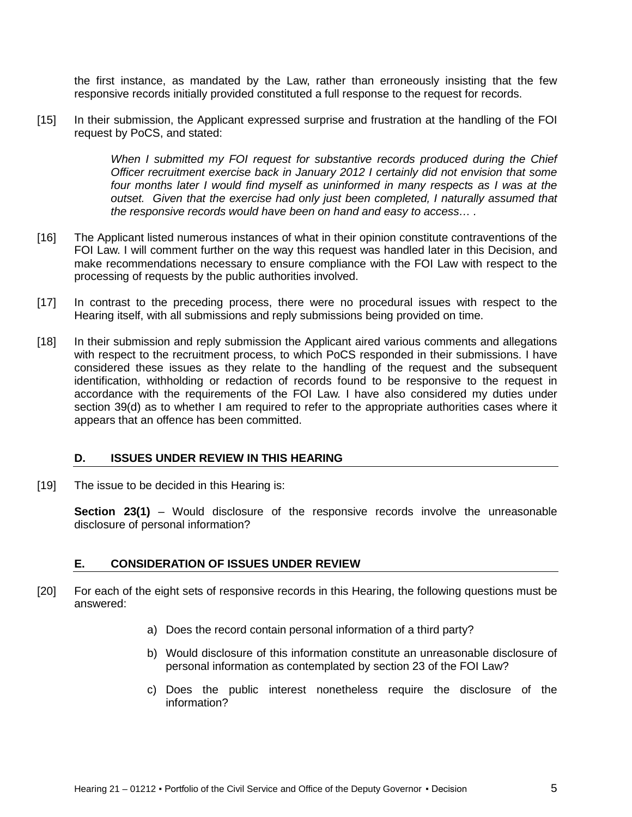the first instance, as mandated by the Law, rather than erroneously insisting that the few responsive records initially provided constituted a full response to the request for records.

[15] In their submission, the Applicant expressed surprise and frustration at the handling of the FOI request by PoCS, and stated:

> *When I submitted my FOI request for substantive records produced during the Chief Officer recruitment exercise back in January 2012 I certainly did not envision that some*  four months later I would find myself as uninformed in many respects as I was at the *outset. Given that the exercise had only just been completed, I naturally assumed that the responsive records would have been on hand and easy to access… .*

- [16] The Applicant listed numerous instances of what in their opinion constitute contraventions of the FOI Law. I will comment further on the way this request was handled later in this Decision, and make recommendations necessary to ensure compliance with the FOI Law with respect to the processing of requests by the public authorities involved.
- [17] In contrast to the preceding process, there were no procedural issues with respect to the Hearing itself, with all submissions and reply submissions being provided on time.
- [18] In their submission and reply submission the Applicant aired various comments and allegations with respect to the recruitment process, to which PoCS responded in their submissions. I have considered these issues as they relate to the handling of the request and the subsequent identification, withholding or redaction of records found to be responsive to the request in accordance with the requirements of the FOI Law. I have also considered my duties under section 39(d) as to whether I am required to refer to the appropriate authorities cases where it appears that an offence has been committed.

#### <span id="page-4-0"></span>**D. ISSUES UNDER REVIEW IN THIS HEARING**

[19] The issue to be decided in this Hearing is:

**Section 23(1)** – Would disclosure of the responsive records involve the unreasonable disclosure of personal information?

# <span id="page-4-1"></span>**E. CONSIDERATION OF ISSUES UNDER REVIEW**

- [20] For each of the eight sets of responsive records in this Hearing, the following questions must be answered:
	- a) Does the record contain personal information of a third party?
	- b) Would disclosure of this information constitute an unreasonable disclosure of personal information as contemplated by section 23 of the FOI Law?
	- c) Does the public interest nonetheless require the disclosure of the information?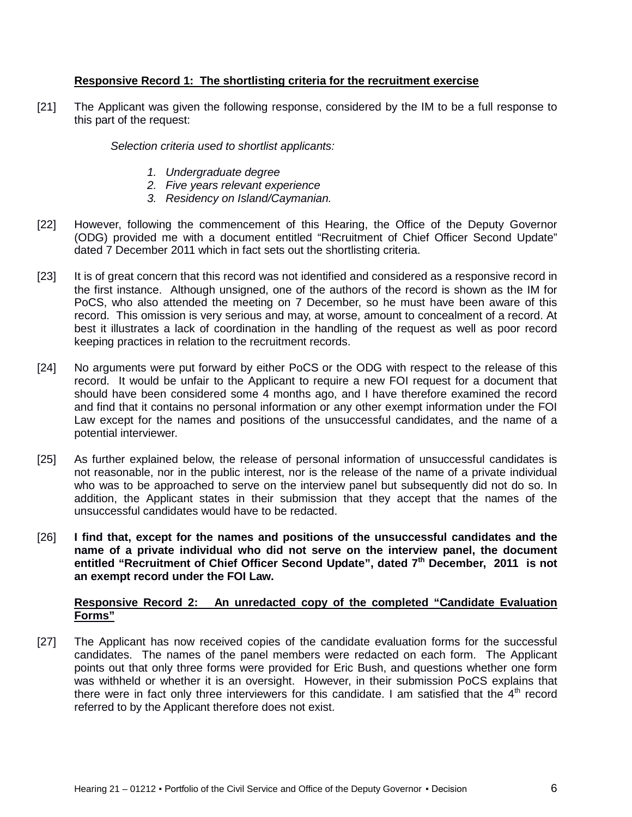# **Responsive Record 1: The shortlisting criteria for the recruitment exercise**

[21] The Applicant was given the following response, considered by the IM to be a full response to this part of the request:

*Selection criteria used to shortlist applicants:*

- *1. Undergraduate degree*
- *2. Five years relevant experience*
- *3. Residency on Island/Caymanian.*
- [22] However, following the commencement of this Hearing, the Office of the Deputy Governor (ODG) provided me with a document entitled "Recruitment of Chief Officer Second Update" dated 7 December 2011 which in fact sets out the shortlisting criteria.
- [23] It is of great concern that this record was not identified and considered as a responsive record in the first instance. Although unsigned, one of the authors of the record is shown as the IM for PoCS, who also attended the meeting on 7 December, so he must have been aware of this record. This omission is very serious and may, at worse, amount to concealment of a record. At best it illustrates a lack of coordination in the handling of the request as well as poor record keeping practices in relation to the recruitment records.
- [24] No arguments were put forward by either PoCS or the ODG with respect to the release of this record. It would be unfair to the Applicant to require a new FOI request for a document that should have been considered some 4 months ago, and I have therefore examined the record and find that it contains no personal information or any other exempt information under the FOI Law except for the names and positions of the unsuccessful candidates, and the name of a potential interviewer.
- [25] As further explained below, the release of personal information of unsuccessful candidates is not reasonable, nor in the public interest, nor is the release of the name of a private individual who was to be approached to serve on the interview panel but subsequently did not do so. In addition, the Applicant states in their submission that they accept that the names of the unsuccessful candidates would have to be redacted.
- [26] **I find that, except for the names and positions of the unsuccessful candidates and the name of a private individual who did not serve on the interview panel, the document entitled "Recruitment of Chief Officer Second Update", dated 7th December, 2011 is not an exempt record under the FOI Law.**

### **Responsive Record 2: An unredacted copy of the completed "Candidate Evaluation Forms"**

[27] The Applicant has now received copies of the candidate evaluation forms for the successful candidates. The names of the panel members were redacted on each form. The Applicant points out that only three forms were provided for Eric Bush, and questions whether one form was withheld or whether it is an oversight. However, in their submission PoCS explains that there were in fact only three interviewers for this candidate. I am satisfied that the 4<sup>th</sup> record referred to by the Applicant therefore does not exist.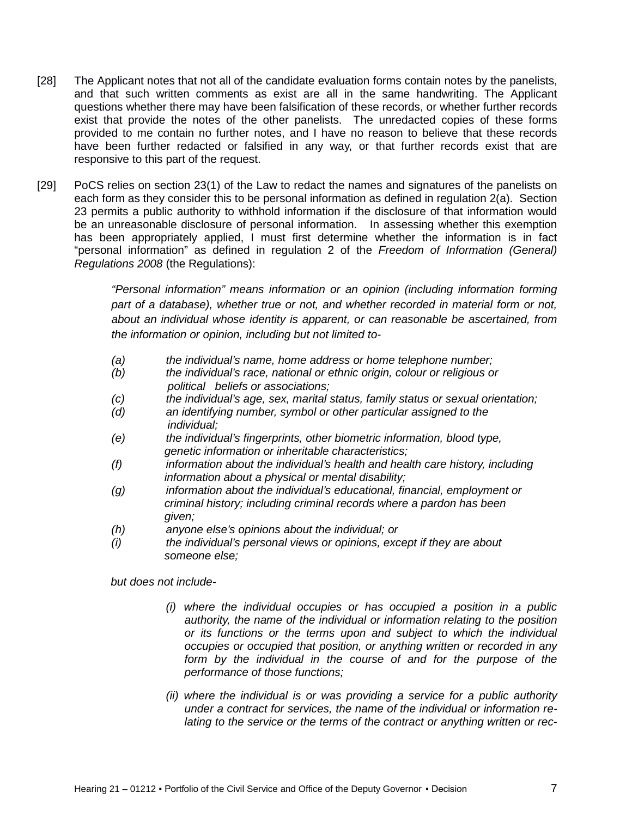- [28] The Applicant notes that not all of the candidate evaluation forms contain notes by the panelists, and that such written comments as exist are all in the same handwriting. The Applicant questions whether there may have been falsification of these records, or whether further records exist that provide the notes of the other panelists. The unredacted copies of these forms provided to me contain no further notes, and I have no reason to believe that these records have been further redacted or falsified in any way, or that further records exist that are responsive to this part of the request.
- [29] PoCS relies on section 23(1) of the Law to redact the names and signatures of the panelists on each form as they consider this to be personal information as defined in regulation 2(a). Section 23 permits a public authority to withhold information if the disclosure of that information would be an unreasonable disclosure of personal information. In assessing whether this exemption has been appropriately applied, I must first determine whether the information is in fact "personal information" as defined in regulation 2 of the *Freedom of Information (General) Regulations 2008* (the Regulations):

*"Personal information" means information or an opinion (including information forming part of a database), whether true or not, and whether recorded in material form or not, about an individual whose identity is apparent, or can reasonable be ascertained, from the information or opinion, including but not limited to-*

- *(a) the individual's name, home address or home telephone number;*
- *(b) the individual's race, national or ethnic origin, colour or religious or political beliefs or associations;*
- *(c) the individual's age, sex, marital status, family status or sexual orientation;*
- *(d) an identifying number, symbol or other particular assigned to the individual;*
- *(e) the individual's fingerprints, other biometric information, blood type, genetic information or inheritable characteristics;*
- *(f) information about the individual's health and health care history, including information about a physical or mental disability;*
- *(g) information about the individual's educational, financial, employment or criminal history; including criminal records where a pardon has been given;*
- *(h) anyone else's opinions about the individual; or*
- *(i) the individual's personal views or opinions, except if they are about someone else;*

*but does not include-*

- *(i) where the individual occupies or has occupied a position in a public authority, the name of the individual or information relating to the position or its functions or the terms upon and subject to which the individual occupies or occupied that position, or anything written or recorded in any form by the individual in the course of and for the purpose of the performance of those functions;*
- *(ii) where the individual is or was providing a service for a public authority under a contract for services, the name of the individual or information relating to the service or the terms of the contract or anything written or rec-*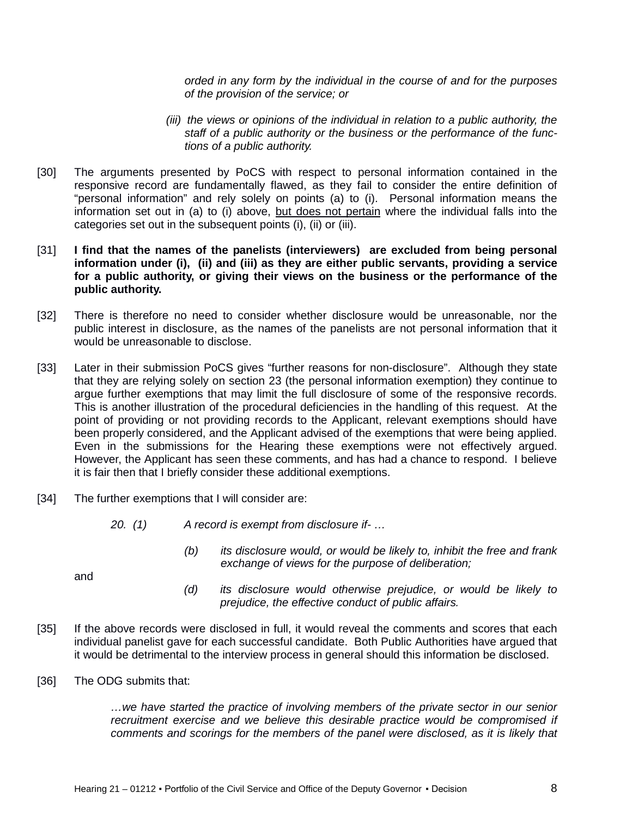*orded in any form by the individual in the course of and for the purposes of the provision of the service; or* 

- *(iii) the views or opinions of the individual in relation to a public authority, the staff of a public authority or the business or the performance of the functions of a public authority.*
- [30] The arguments presented by PoCS with respect to personal information contained in the responsive record are fundamentally flawed, as they fail to consider the entire definition of "personal information" and rely solely on points (a) to (i). Personal information means the information set out in (a) to (i) above, but does not pertain where the individual falls into the categories set out in the subsequent points (i), (ii) or (iii).

#### [31] **I find that the names of the panelists (interviewers) are excluded from being personal information under (i), (ii) and (iii) as they are either public servants, providing a service for a public authority, or giving their views on the business or the performance of the public authority.**

- [32] There is therefore no need to consider whether disclosure would be unreasonable, nor the public interest in disclosure, as the names of the panelists are not personal information that it would be unreasonable to disclose.
- [33] Later in their submission PoCS gives "further reasons for non-disclosure". Although they state that they are relying solely on section 23 (the personal information exemption) they continue to argue further exemptions that may limit the full disclosure of some of the responsive records. This is another illustration of the procedural deficiencies in the handling of this request. At the point of providing or not providing records to the Applicant, relevant exemptions should have been properly considered, and the Applicant advised of the exemptions that were being applied. Even in the submissions for the Hearing these exemptions were not effectively argued. However, the Applicant has seen these comments, and has had a chance to respond. I believe it is fair then that I briefly consider these additional exemptions.
- [34] The further exemptions that I will consider are:
	- *20. (1) A record is exempt from disclosure if- …*
		- *(b) its disclosure would, or would be likely to, inhibit the free and frank exchange of views for the purpose of deliberation;*

and

- *(d) its disclosure would otherwise prejudice, or would be likely to prejudice, the effective conduct of public affairs.*
- [35] If the above records were disclosed in full, it would reveal the comments and scores that each individual panelist gave for each successful candidate. Both Public Authorities have argued that it would be detrimental to the interview process in general should this information be disclosed.
- [36] The ODG submits that:

*…we have started the practice of involving members of the private sector in our senior recruitment exercise and we believe this desirable practice would be compromised if comments and scorings for the members of the panel were disclosed, as it is likely that*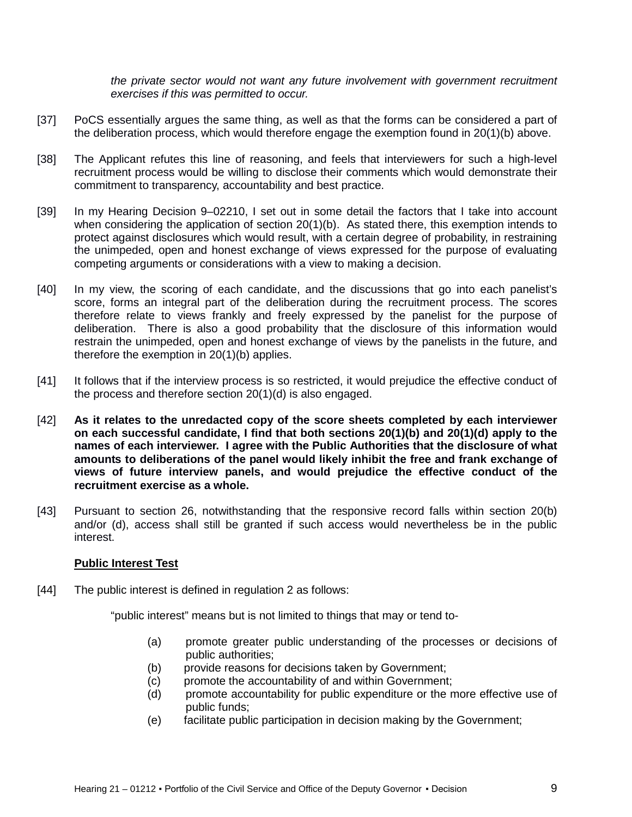*the private sector would not want any future involvement with government recruitment exercises if this was permitted to occur.*

- [37] PoCS essentially argues the same thing, as well as that the forms can be considered a part of the deliberation process, which would therefore engage the exemption found in 20(1)(b) above.
- [38] The Applicant refutes this line of reasoning, and feels that interviewers for such a high-level recruitment process would be willing to disclose their comments which would demonstrate their commitment to transparency, accountability and best practice.
- [39] In my Hearing Decision 9–02210, I set out in some detail the factors that I take into account when considering the application of section 20(1)(b). As stated there, this exemption intends to protect against disclosures which would result, with a certain degree of probability, in restraining the unimpeded, open and honest exchange of views expressed for the purpose of evaluating competing arguments or considerations with a view to making a decision.
- [40] In my view, the scoring of each candidate, and the discussions that go into each panelist's score, forms an integral part of the deliberation during the recruitment process. The scores therefore relate to views frankly and freely expressed by the panelist for the purpose of deliberation. There is also a good probability that the disclosure of this information would restrain the unimpeded, open and honest exchange of views by the panelists in the future, and therefore the exemption in 20(1)(b) applies.
- [41] It follows that if the interview process is so restricted, it would prejudice the effective conduct of the process and therefore section 20(1)(d) is also engaged.
- [42] **As it relates to the unredacted copy of the score sheets completed by each interviewer on each successful candidate, I find that both sections 20(1)(b) and 20(1)(d) apply to the names of each interviewer. I agree with the Public Authorities that the disclosure of what amounts to deliberations of the panel would likely inhibit the free and frank exchange of views of future interview panels, and would prejudice the effective conduct of the recruitment exercise as a whole.**
- [43] Pursuant to section 26, notwithstanding that the responsive record falls within section 20(b) and/or (d), access shall still be granted if such access would nevertheless be in the public interest.

#### **Public Interest Test**

[44] The public interest is defined in regulation 2 as follows:

"public interest" means but is not limited to things that may or tend to-

- (a) promote greater public understanding of the processes or decisions of public authorities;
- (b) provide reasons for decisions taken by Government;
- (c) promote the accountability of and within Government;
- (d) promote accountability for public expenditure or the more effective use of public funds;
- (e) facilitate public participation in decision making by the Government;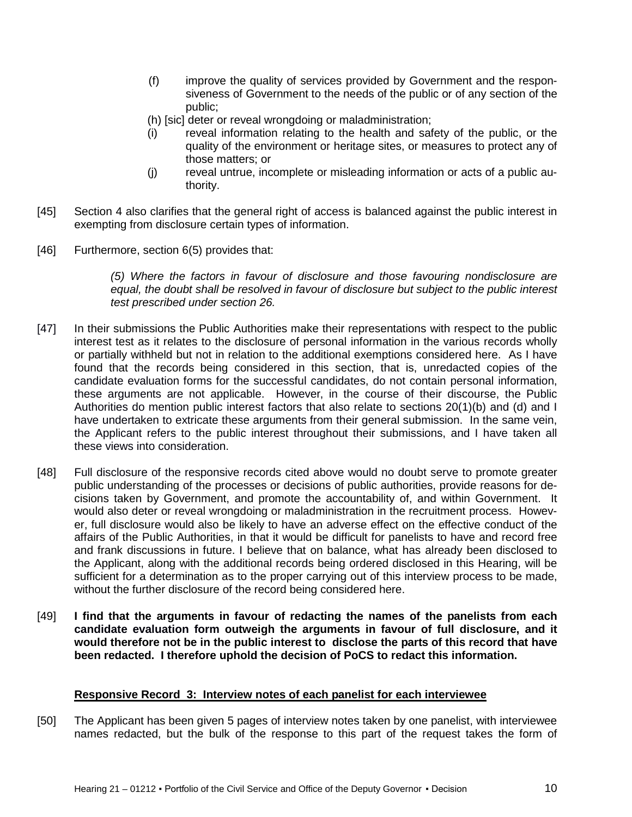- (f) improve the quality of services provided by Government and the responsiveness of Government to the needs of the public or of any section of the public;
- (h) [sic] deter or reveal wrongdoing or maladministration;
- (i) reveal information relating to the health and safety of the public, or the quality of the environment or heritage sites, or measures to protect any of those matters; or
- (j) reveal untrue, incomplete or misleading information or acts of a public authority.
- [45] Section 4 also clarifies that the general right of access is balanced against the public interest in exempting from disclosure certain types of information.
- [46] Furthermore, section 6(5) provides that:

*(5) Where the factors in favour of disclosure and those favouring nondisclosure are equal, the doubt shall be resolved in favour of disclosure but subject to the public interest test prescribed under section 26.*

- [47] In their submissions the Public Authorities make their representations with respect to the public interest test as it relates to the disclosure of personal information in the various records wholly or partially withheld but not in relation to the additional exemptions considered here. As I have found that the records being considered in this section, that is, unredacted copies of the candidate evaluation forms for the successful candidates, do not contain personal information, these arguments are not applicable. However, in the course of their discourse, the Public Authorities do mention public interest factors that also relate to sections 20(1)(b) and (d) and I have undertaken to extricate these arguments from their general submission. In the same vein, the Applicant refers to the public interest throughout their submissions, and I have taken all these views into consideration.
- [48] Full disclosure of the responsive records cited above would no doubt serve to promote greater public understanding of the processes or decisions of public authorities, provide reasons for decisions taken by Government, and promote the accountability of, and within Government. It would also deter or reveal wrongdoing or maladministration in the recruitment process. However, full disclosure would also be likely to have an adverse effect on the effective conduct of the affairs of the Public Authorities, in that it would be difficult for panelists to have and record free and frank discussions in future. I believe that on balance, what has already been disclosed to the Applicant, along with the additional records being ordered disclosed in this Hearing, will be sufficient for a determination as to the proper carrying out of this interview process to be made, without the further disclosure of the record being considered here.
- [49] **I find that the arguments in favour of redacting the names of the panelists from each candidate evaluation form outweigh the arguments in favour of full disclosure, and it would therefore not be in the public interest to disclose the parts of this record that have been redacted. I therefore uphold the decision of PoCS to redact this information.**

#### **Responsive Record 3: Interview notes of each panelist for each interviewee**

[50] The Applicant has been given 5 pages of interview notes taken by one panelist, with interviewee names redacted, but the bulk of the response to this part of the request takes the form of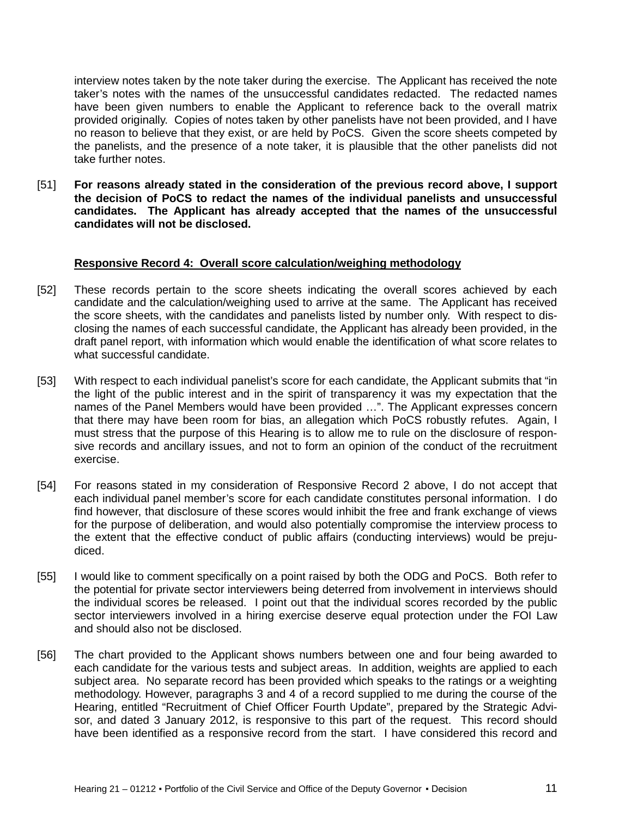interview notes taken by the note taker during the exercise. The Applicant has received the note taker's notes with the names of the unsuccessful candidates redacted. The redacted names have been given numbers to enable the Applicant to reference back to the overall matrix provided originally. Copies of notes taken by other panelists have not been provided, and I have no reason to believe that they exist, or are held by PoCS. Given the score sheets competed by the panelists, and the presence of a note taker, it is plausible that the other panelists did not take further notes.

[51] **For reasons already stated in the consideration of the previous record above, I support the decision of PoCS to redact the names of the individual panelists and unsuccessful candidates. The Applicant has already accepted that the names of the unsuccessful candidates will not be disclosed.**

### **Responsive Record 4: Overall score calculation/weighing methodology**

- [52] These records pertain to the score sheets indicating the overall scores achieved by each candidate and the calculation/weighing used to arrive at the same. The Applicant has received the score sheets, with the candidates and panelists listed by number only. With respect to disclosing the names of each successful candidate, the Applicant has already been provided, in the draft panel report, with information which would enable the identification of what score relates to what successful candidate.
- [53] With respect to each individual panelist's score for each candidate, the Applicant submits that "in the light of the public interest and in the spirit of transparency it was my expectation that the names of the Panel Members would have been provided …". The Applicant expresses concern that there may have been room for bias, an allegation which PoCS robustly refutes. Again, I must stress that the purpose of this Hearing is to allow me to rule on the disclosure of responsive records and ancillary issues, and not to form an opinion of the conduct of the recruitment exercise.
- [54] For reasons stated in my consideration of Responsive Record 2 above, I do not accept that each individual panel member's score for each candidate constitutes personal information. I do find however, that disclosure of these scores would inhibit the free and frank exchange of views for the purpose of deliberation, and would also potentially compromise the interview process to the extent that the effective conduct of public affairs (conducting interviews) would be prejudiced.
- [55] I would like to comment specifically on a point raised by both the ODG and PoCS. Both refer to the potential for private sector interviewers being deterred from involvement in interviews should the individual scores be released. I point out that the individual scores recorded by the public sector interviewers involved in a hiring exercise deserve equal protection under the FOI Law and should also not be disclosed.
- [56] The chart provided to the Applicant shows numbers between one and four being awarded to each candidate for the various tests and subject areas. In addition, weights are applied to each subject area. No separate record has been provided which speaks to the ratings or a weighting methodology. However, paragraphs 3 and 4 of a record supplied to me during the course of the Hearing, entitled "Recruitment of Chief Officer Fourth Update", prepared by the Strategic Advisor, and dated 3 January 2012, is responsive to this part of the request. This record should have been identified as a responsive record from the start. I have considered this record and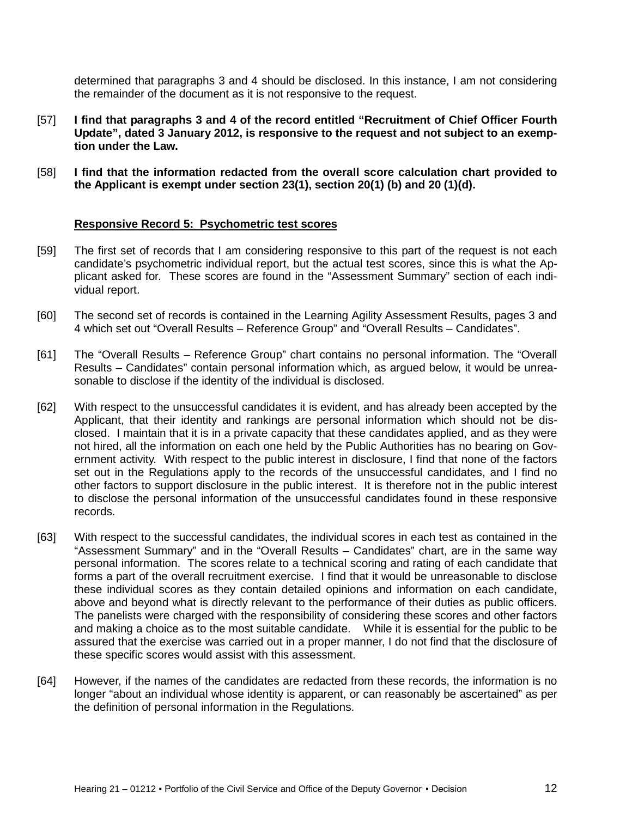determined that paragraphs 3 and 4 should be disclosed. In this instance, I am not considering the remainder of the document as it is not responsive to the request.

- [57] **I find that paragraphs 3 and 4 of the record entitled "Recruitment of Chief Officer Fourth Update", dated 3 January 2012, is responsive to the request and not subject to an exemption under the Law.**
- [58] **I find that the information redacted from the overall score calculation chart provided to the Applicant is exempt under section 23(1), section 20(1) (b) and 20 (1)(d).**

#### **Responsive Record 5: Psychometric test scores**

- [59] The first set of records that I am considering responsive to this part of the request is not each candidate's psychometric individual report, but the actual test scores, since this is what the Applicant asked for. These scores are found in the "Assessment Summary" section of each individual report.
- [60] The second set of records is contained in the Learning Agility Assessment Results, pages 3 and 4 which set out "Overall Results – Reference Group" and "Overall Results – Candidates".
- [61] The "Overall Results Reference Group" chart contains no personal information. The "Overall Results – Candidates" contain personal information which, as argued below, it would be unreasonable to disclose if the identity of the individual is disclosed.
- [62] With respect to the unsuccessful candidates it is evident, and has already been accepted by the Applicant, that their identity and rankings are personal information which should not be disclosed. I maintain that it is in a private capacity that these candidates applied, and as they were not hired, all the information on each one held by the Public Authorities has no bearing on Government activity. With respect to the public interest in disclosure, I find that none of the factors set out in the Regulations apply to the records of the unsuccessful candidates, and I find no other factors to support disclosure in the public interest. It is therefore not in the public interest to disclose the personal information of the unsuccessful candidates found in these responsive records.
- [63] With respect to the successful candidates, the individual scores in each test as contained in the "Assessment Summary" and in the "Overall Results – Candidates" chart, are in the same way personal information. The scores relate to a technical scoring and rating of each candidate that forms a part of the overall recruitment exercise. I find that it would be unreasonable to disclose these individual scores as they contain detailed opinions and information on each candidate, above and beyond what is directly relevant to the performance of their duties as public officers. The panelists were charged with the responsibility of considering these scores and other factors and making a choice as to the most suitable candidate. While it is essential for the public to be assured that the exercise was carried out in a proper manner, I do not find that the disclosure of these specific scores would assist with this assessment.
- [64] However, if the names of the candidates are redacted from these records, the information is no longer "about an individual whose identity is apparent, or can reasonably be ascertained" as per the definition of personal information in the Regulations.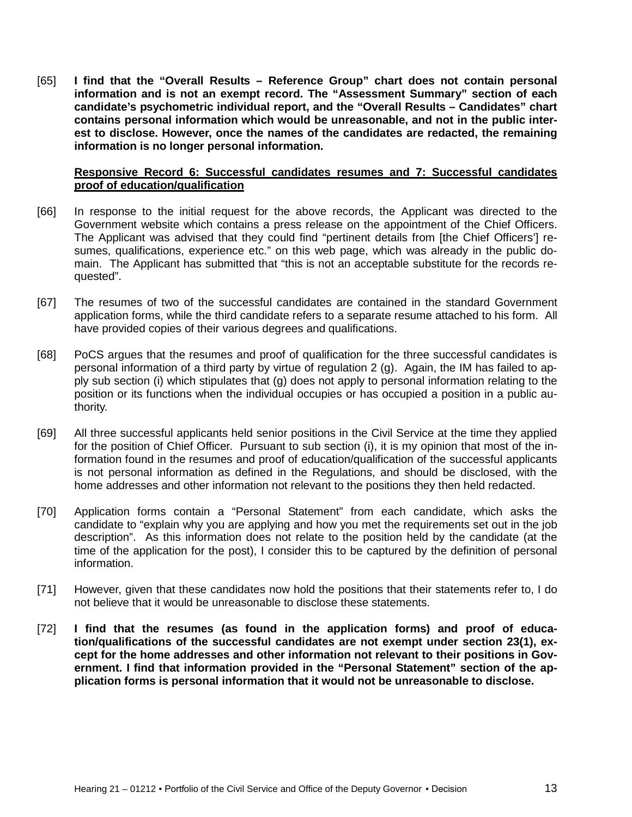[65] **I find that the "Overall Results – Reference Group" chart does not contain personal information and is not an exempt record. The "Assessment Summary" section of each candidate's psychometric individual report, and the "Overall Results – Candidates" chart contains personal information which would be unreasonable, and not in the public interest to disclose. However, once the names of the candidates are redacted, the remaining information is no longer personal information.**

#### **Responsive Record 6: Successful candidates resumes and 7: Successful candidates proof of education/qualification**

- [66] In response to the initial request for the above records, the Applicant was directed to the Government website which contains a press release on the appointment of the Chief Officers. The Applicant was advised that they could find "pertinent details from [the Chief Officers'] resumes, qualifications, experience etc." on this web page, which was already in the public domain. The Applicant has submitted that "this is not an acceptable substitute for the records requested".
- [67] The resumes of two of the successful candidates are contained in the standard Government application forms, while the third candidate refers to a separate resume attached to his form. All have provided copies of their various degrees and qualifications.
- [68] PoCS argues that the resumes and proof of qualification for the three successful candidates is personal information of a third party by virtue of regulation 2 (g). Again, the IM has failed to apply sub section (i) which stipulates that (g) does not apply to personal information relating to the position or its functions when the individual occupies or has occupied a position in a public authority.
- [69] All three successful applicants held senior positions in the Civil Service at the time they applied for the position of Chief Officer. Pursuant to sub section (i), it is my opinion that most of the information found in the resumes and proof of education/qualification of the successful applicants is not personal information as defined in the Regulations, and should be disclosed, with the home addresses and other information not relevant to the positions they then held redacted.
- [70] Application forms contain a "Personal Statement" from each candidate, which asks the candidate to "explain why you are applying and how you met the requirements set out in the job description". As this information does not relate to the position held by the candidate (at the time of the application for the post), I consider this to be captured by the definition of personal information.
- [71] However, given that these candidates now hold the positions that their statements refer to, I do not believe that it would be unreasonable to disclose these statements.
- [72] **I find that the resumes (as found in the application forms) and proof of education/qualifications of the successful candidates are not exempt under section 23(1), except for the home addresses and other information not relevant to their positions in Government. I find that information provided in the "Personal Statement" section of the application forms is personal information that it would not be unreasonable to disclose.**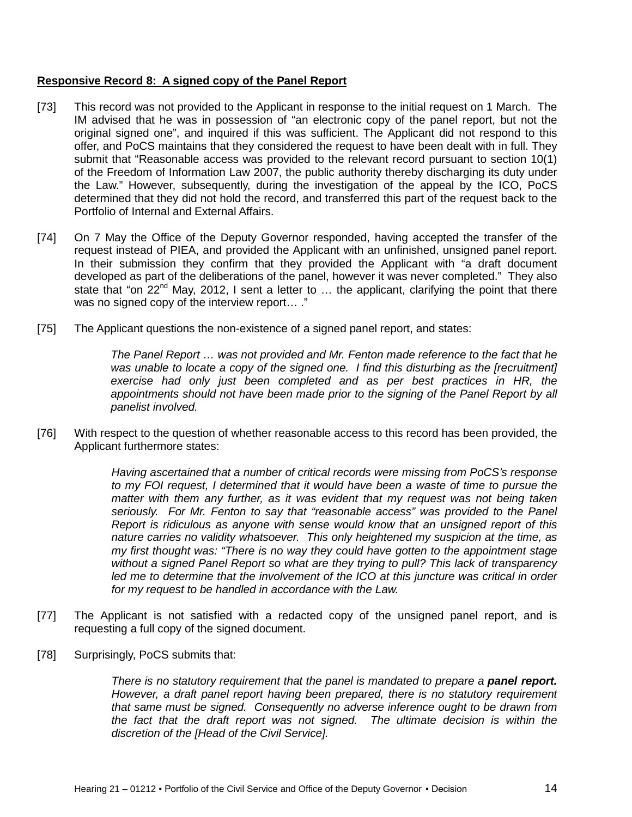### **Responsive Record 8: A signed copy of the Panel Report**

- [73] This record was not provided to the Applicant in response to the initial request on 1 March. The IM advised that he was in possession of "an electronic copy of the panel report, but not the original signed one", and inquired if this was sufficient. The Applicant did not respond to this offer, and PoCS maintains that they considered the request to have been dealt with in full. They submit that "Reasonable access was provided to the relevant record pursuant to section 10(1) of the Freedom of Information Law 2007, the public authority thereby discharging its duty under the Law." However, subsequently, during the investigation of the appeal by the ICO, PoCS determined that they did not hold the record, and transferred this part of the request back to the Portfolio of Internal and External Affairs.
- [74] On 7 May the Office of the Deputy Governor responded, having accepted the transfer of the request instead of PIEA, and provided the Applicant with an unfinished, unsigned panel report. In their submission they confirm that they provided the Applicant with "a draft document developed as part of the deliberations of the panel, however it was never completed." They also state that "on 22<sup>nd</sup> May, 2012, I sent a letter to ... the applicant, clarifying the point that there was no signed copy of the interview report... ."
- [75] The Applicant questions the non-existence of a signed panel report, and states:

*The Panel Report … was not provided and Mr. Fenton made reference to the fact that he*  was unable to locate a copy of the signed one. I find this disturbing as the [recruitment] exercise had only just been completed and as per best practices in HR, the appointments should not have been made prior to the signing of the Panel Report by all *panelist involved.*

[76] With respect to the question of whether reasonable access to this record has been provided, the Applicant furthermore states:

> *Having ascertained that a number of critical records were missing from PoCS's response to my FOI request, I determined that it would have been a waste of time to pursue the matter with them any further, as it was evident that my request was not being taken seriously. For Mr. Fenton to say that "reasonable access" was provided to the Panel Report is ridiculous as anyone with sense would know that an unsigned report of this nature carries no validity whatsoever. This only heightened my suspicion at the time, as my first thought was: "There is no way they could have gotten to the appointment stage without a signed Panel Report so what are they trying to pull? This lack of transparency*  led me to determine that the involvement of the ICO at this juncture was critical in order *for my request to be handled in accordance with the Law.*

- [77] The Applicant is not satisfied with a redacted copy of the unsigned panel report, and is requesting a full copy of the signed document.
- [78] Surprisingly, PoCS submits that:

*There is no statutory requirement that the panel is mandated to prepare a panel report. However, a draft panel report having been prepared, there is no statutory requirement that same must be signed. Consequently no adverse inference ought to be drawn from the fact that the draft report was not signed. The ultimate decision is within the discretion of the [Head of the Civil Service].*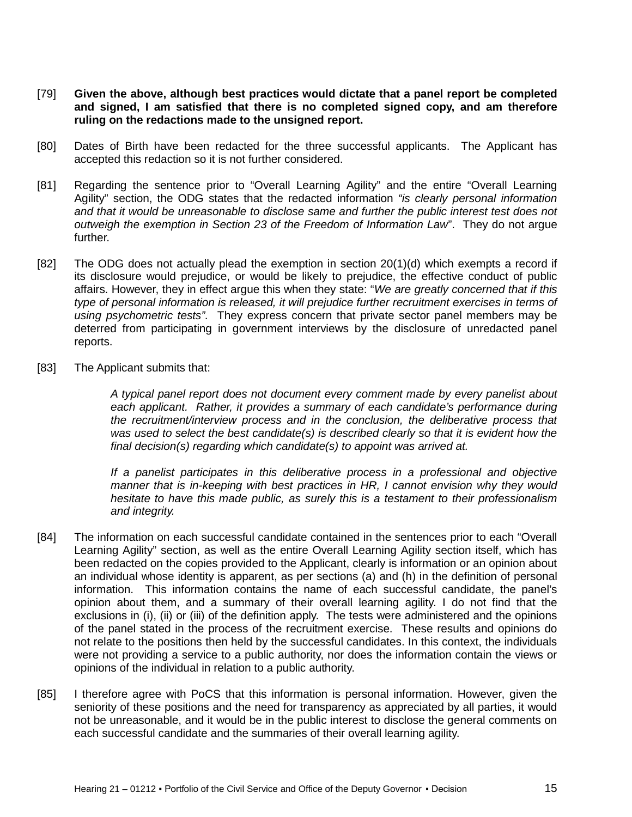- [79] **Given the above, although best practices would dictate that a panel report be completed and signed, I am satisfied that there is no completed signed copy, and am therefore ruling on the redactions made to the unsigned report.**
- [80] Dates of Birth have been redacted for the three successful applicants. The Applicant has accepted this redaction so it is not further considered.
- [81] Regarding the sentence prior to "Overall Learning Agility" and the entire "Overall Learning Agility" section, the ODG states that the redacted information *"is clearly personal information and that it would be unreasonable to disclose same and further the public interest test does not outweigh the exemption in Section 23 of the Freedom of Information Law*". They do not argue further.
- [82] The ODG does not actually plead the exemption in section 20(1)(d) which exempts a record if its disclosure would prejudice, or would be likely to prejudice, the effective conduct of public affairs. However, they in effect argue this when they state: "*We are greatly concerned that if this type of personal information is released, it will prejudice further recruitment exercises in terms of using psychometric tests"*. They express concern that private sector panel members may be deterred from participating in government interviews by the disclosure of unredacted panel reports.
- [83] The Applicant submits that:

*A typical panel report does not document every comment made by every panelist about*  each applicant. Rather, it provides a summary of each candidate's performance during *the recruitment/interview process and in the conclusion, the deliberative process that was used to select the best candidate(s) is described clearly so that it is evident how the final decision(s) regarding which candidate(s) to appoint was arrived at.*

*If a panelist participates in this deliberative process in a professional and objective manner that is in-keeping with best practices in HR, I cannot envision why they would hesitate to have this made public, as surely this is a testament to their professionalism and integrity.* 

- [84] The information on each successful candidate contained in the sentences prior to each "Overall Learning Agility" section, as well as the entire Overall Learning Agility section itself, which has been redacted on the copies provided to the Applicant, clearly is information or an opinion about an individual whose identity is apparent, as per sections (a) and (h) in the definition of personal information. This information contains the name of each successful candidate, the panel's opinion about them, and a summary of their overall learning agility. I do not find that the exclusions in (i), (ii) or (iii) of the definition apply. The tests were administered and the opinions of the panel stated in the process of the recruitment exercise. These results and opinions do not relate to the positions then held by the successful candidates. In this context, the individuals were not providing a service to a public authority, nor does the information contain the views or opinions of the individual in relation to a public authority.
- [85] I therefore agree with PoCS that this information is personal information. However, given the seniority of these positions and the need for transparency as appreciated by all parties, it would not be unreasonable, and it would be in the public interest to disclose the general comments on each successful candidate and the summaries of their overall learning agility.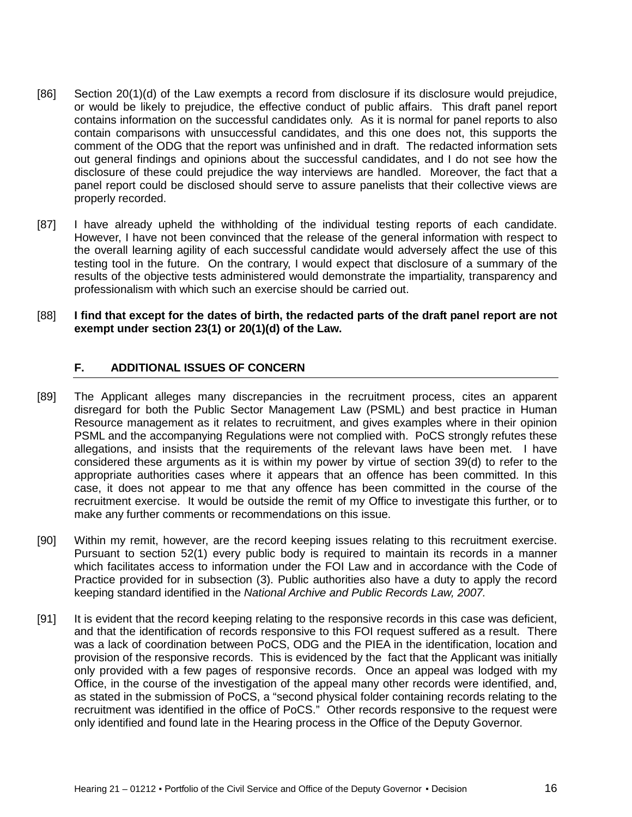- [86] Section 20(1)(d) of the Law exempts a record from disclosure if its disclosure would prejudice, or would be likely to prejudice, the effective conduct of public affairs. This draft panel report contains information on the successful candidates only. As it is normal for panel reports to also contain comparisons with unsuccessful candidates, and this one does not, this supports the comment of the ODG that the report was unfinished and in draft. The redacted information sets out general findings and opinions about the successful candidates, and I do not see how the disclosure of these could prejudice the way interviews are handled. Moreover, the fact that a panel report could be disclosed should serve to assure panelists that their collective views are properly recorded.
- [87] I have already upheld the withholding of the individual testing reports of each candidate. However, I have not been convinced that the release of the general information with respect to the overall learning agility of each successful candidate would adversely affect the use of this testing tool in the future. On the contrary, I would expect that disclosure of a summary of the results of the objective tests administered would demonstrate the impartiality, transparency and professionalism with which such an exercise should be carried out.
- [88] **I find that except for the dates of birth, the redacted parts of the draft panel report are not exempt under section 23(1) or 20(1)(d) of the Law.**

# <span id="page-15-0"></span>**F. ADDITIONAL ISSUES OF CONCERN**

- [89] The Applicant alleges many discrepancies in the recruitment process, cites an apparent disregard for both the Public Sector Management Law (PSML) and best practice in Human Resource management as it relates to recruitment, and gives examples where in their opinion PSML and the accompanying Regulations were not complied with. PoCS strongly refutes these allegations, and insists that the requirements of the relevant laws have been met. I have considered these arguments as it is within my power by virtue of section 39(d) to refer to the appropriate authorities cases where it appears that an offence has been committed. In this case, it does not appear to me that any offence has been committed in the course of the recruitment exercise. It would be outside the remit of my Office to investigate this further, or to make any further comments or recommendations on this issue.
- [90] Within my remit, however, are the record keeping issues relating to this recruitment exercise. Pursuant to section 52(1) every public body is required to maintain its records in a manner which facilitates access to information under the FOI Law and in accordance with the Code of Practice provided for in subsection (3). Public authorities also have a duty to apply the record keeping standard identified in the *National Archive and Public Records Law, 2007.*
- [91] It is evident that the record keeping relating to the responsive records in this case was deficient, and that the identification of records responsive to this FOI request suffered as a result. There was a lack of coordination between PoCS, ODG and the PIEA in the identification, location and provision of the responsive records. This is evidenced by the fact that the Applicant was initially only provided with a few pages of responsive records. Once an appeal was lodged with my Office, in the course of the investigation of the appeal many other records were identified, and, as stated in the submission of PoCS, a "second physical folder containing records relating to the recruitment was identified in the office of PoCS." Other records responsive to the request were only identified and found late in the Hearing process in the Office of the Deputy Governor.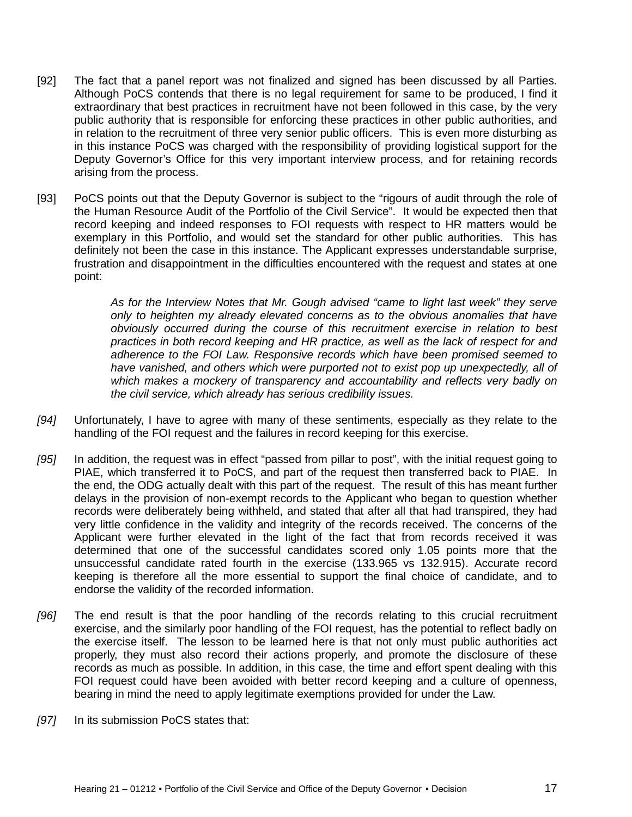- [92] The fact that a panel report was not finalized and signed has been discussed by all Parties. Although PoCS contends that there is no legal requirement for same to be produced, I find it extraordinary that best practices in recruitment have not been followed in this case, by the very public authority that is responsible for enforcing these practices in other public authorities, and in relation to the recruitment of three very senior public officers. This is even more disturbing as in this instance PoCS was charged with the responsibility of providing logistical support for the Deputy Governor's Office for this very important interview process, and for retaining records arising from the process.
- [93] PoCS points out that the Deputy Governor is subject to the "rigours of audit through the role of the Human Resource Audit of the Portfolio of the Civil Service". It would be expected then that record keeping and indeed responses to FOI requests with respect to HR matters would be exemplary in this Portfolio, and would set the standard for other public authorities. This has definitely not been the case in this instance. The Applicant expresses understandable surprise, frustration and disappointment in the difficulties encountered with the request and states at one point:

*As for the Interview Notes that Mr. Gough advised "came to light last week" they serve only to heighten my already elevated concerns as to the obvious anomalies that have obviously occurred during the course of this recruitment exercise in relation to best practices in both record keeping and HR practice, as well as the lack of respect for and adherence to the FOI Law. Responsive records which have been promised seemed to have vanished, and others which were purported not to exist pop up unexpectedly, all of which makes a mockery of transparency and accountability and reflects very badly on the civil service, which already has serious credibility issues.*

- *[94]* Unfortunately, I have to agree with many of these sentiments, especially as they relate to the handling of the FOI request and the failures in record keeping for this exercise.
- *[95]* In addition, the request was in effect "passed from pillar to post", with the initial request going to PIAE, which transferred it to PoCS, and part of the request then transferred back to PIAE. In the end, the ODG actually dealt with this part of the request. The result of this has meant further delays in the provision of non-exempt records to the Applicant who began to question whether records were deliberately being withheld, and stated that after all that had transpired, they had very little confidence in the validity and integrity of the records received. The concerns of the Applicant were further elevated in the light of the fact that from records received it was determined that one of the successful candidates scored only 1.05 points more that the unsuccessful candidate rated fourth in the exercise (133.965 vs 132.915). Accurate record keeping is therefore all the more essential to support the final choice of candidate, and to endorse the validity of the recorded information.
- *[96]* The end result is that the poor handling of the records relating to this crucial recruitment exercise, and the similarly poor handling of the FOI request, has the potential to reflect badly on the exercise itself. The lesson to be learned here is that not only must public authorities act properly, they must also record their actions properly, and promote the disclosure of these records as much as possible. In addition, in this case, the time and effort spent dealing with this FOI request could have been avoided with better record keeping and a culture of openness, bearing in mind the need to apply legitimate exemptions provided for under the Law.
- *[97]* In its submission PoCS states that: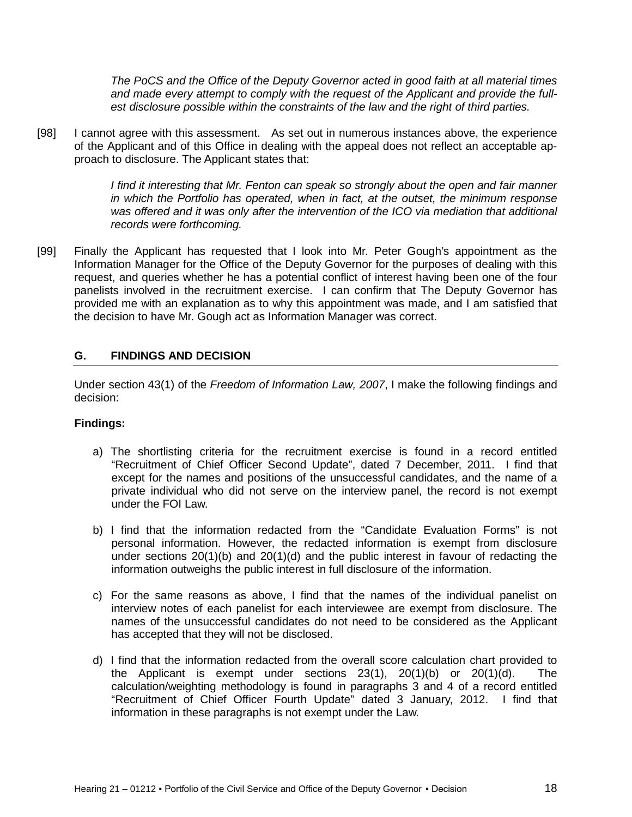*The PoCS and the Office of the Deputy Governor acted in good faith at all material times and made every attempt to comply with the request of the Applicant and provide the fullest disclosure possible within the constraints of the law and the right of third parties.*

[98] I cannot agree with this assessment. As set out in numerous instances above, the experience of the Applicant and of this Office in dealing with the appeal does not reflect an acceptable approach to disclosure. The Applicant states that:

> *I find it interesting that Mr. Fenton can speak so strongly about the open and fair manner in which the Portfolio has operated, when in fact, at the outset, the minimum response*  was offered and it was only after the intervention of the ICO via mediation that additional *records were forthcoming.*

[99] Finally the Applicant has requested that I look into Mr. Peter Gough's appointment as the Information Manager for the Office of the Deputy Governor for the purposes of dealing with this request, and queries whether he has a potential conflict of interest having been one of the four panelists involved in the recruitment exercise. I can confirm that The Deputy Governor has provided me with an explanation as to why this appointment was made, and I am satisfied that the decision to have Mr. Gough act as Information Manager was correct.

# <span id="page-17-0"></span>**G. FINDINGS AND DECISION**

Under section 43(1) of the *Freedom of Information Law, 2007*, I make the following findings and decision:

# **Findings:**

- a) The shortlisting criteria for the recruitment exercise is found in a record entitled "Recruitment of Chief Officer Second Update", dated 7 December, 2011. I find that except for the names and positions of the unsuccessful candidates, and the name of a private individual who did not serve on the interview panel, the record is not exempt under the FOI Law.
- b) I find that the information redacted from the "Candidate Evaluation Forms" is not personal information. However, the redacted information is exempt from disclosure under sections 20(1)(b) and 20(1)(d) and the public interest in favour of redacting the information outweighs the public interest in full disclosure of the information.
- c) For the same reasons as above, I find that the names of the individual panelist on interview notes of each panelist for each interviewee are exempt from disclosure. The names of the unsuccessful candidates do not need to be considered as the Applicant has accepted that they will not be disclosed.
- d) I find that the information redacted from the overall score calculation chart provided to the Applicant is exempt under sections  $23(1)$ ,  $20(1)(b)$  or  $20(1)(d)$ . The calculation/weighting methodology is found in paragraphs 3 and 4 of a record entitled "Recruitment of Chief Officer Fourth Update" dated 3 January, 2012. I find that information in these paragraphs is not exempt under the Law.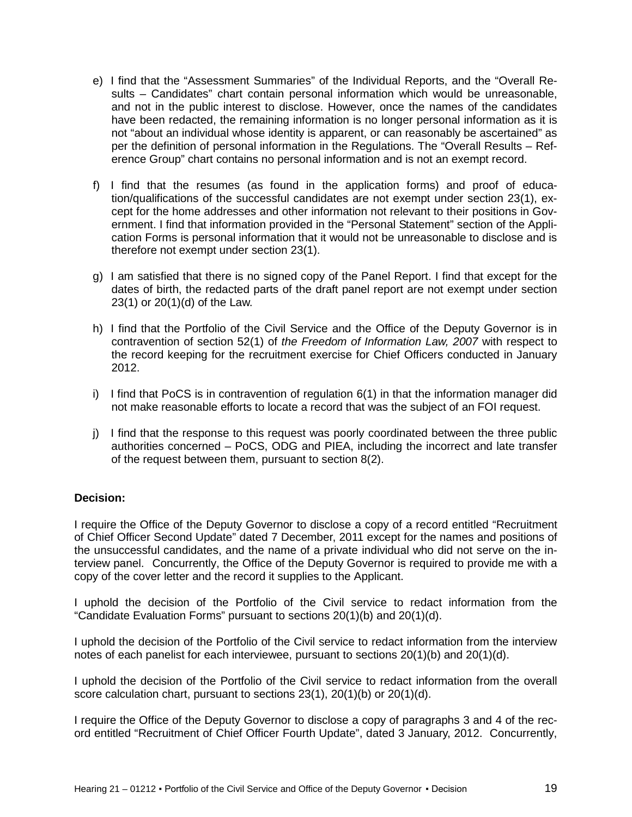- e) I find that the "Assessment Summaries" of the Individual Reports, and the "Overall Results – Candidates" chart contain personal information which would be unreasonable, and not in the public interest to disclose. However, once the names of the candidates have been redacted, the remaining information is no longer personal information as it is not "about an individual whose identity is apparent, or can reasonably be ascertained" as per the definition of personal information in the Regulations. The "Overall Results – Reference Group" chart contains no personal information and is not an exempt record.
- f) I find that the resumes (as found in the application forms) and proof of education/qualifications of the successful candidates are not exempt under section 23(1), except for the home addresses and other information not relevant to their positions in Government. I find that information provided in the "Personal Statement" section of the Application Forms is personal information that it would not be unreasonable to disclose and is therefore not exempt under section 23(1).
- g) I am satisfied that there is no signed copy of the Panel Report. I find that except for the dates of birth, the redacted parts of the draft panel report are not exempt under section 23(1) or 20(1)(d) of the Law.
- h) I find that the Portfolio of the Civil Service and the Office of the Deputy Governor is in contravention of section 52(1) of *the Freedom of Information Law, 2007* with respect to the record keeping for the recruitment exercise for Chief Officers conducted in January 2012.
- i) I find that PoCS is in contravention of regulation 6(1) in that the information manager did not make reasonable efforts to locate a record that was the subject of an FOI request.
- j) I find that the response to this request was poorly coordinated between the three public authorities concerned – PoCS, ODG and PIEA, including the incorrect and late transfer of the request between them, pursuant to section 8(2).

# **Decision:**

I require the Office of the Deputy Governor to disclose a copy of a record entitled "Recruitment of Chief Officer Second Update" dated 7 December, 2011 except for the names and positions of the unsuccessful candidates, and the name of a private individual who did not serve on the interview panel.Concurrently, the Office of the Deputy Governor is required to provide me with a copy of the cover letter and the record it supplies to the Applicant.

I uphold the decision of the Portfolio of the Civil service to redact information from the "Candidate Evaluation Forms" pursuant to sections 20(1)(b) and 20(1)(d).

I uphold the decision of the Portfolio of the Civil service to redact information from the interview notes of each panelist for each interviewee, pursuant to sections  $20(1)(b)$  and  $20(1)(d)$ .

I uphold the decision of the Portfolio of the Civil service to redact information from the overall score calculation chart, pursuant to sections 23(1), 20(1)(b) or 20(1)(d).

I require the Office of the Deputy Governor to disclose a copy of paragraphs 3 and 4 of the record entitled "Recruitment of Chief Officer Fourth Update", dated 3 January, 2012. Concurrently,